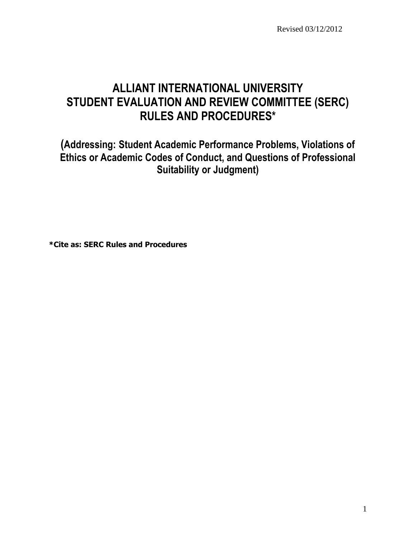Revised 03/12/2012

# **ALLIANT INTERNATIONAL UNIVERSITY STUDENT EVALUATION AND REVIEW COMMITTEE (SERC) RULES AND PROCEDURES\***

**(Addressing: Student Academic Performance Problems, Violations of Ethics or Academic Codes of Conduct, and Questions of Professional Suitability or Judgment)**

**\*Cite as: SERC Rules and Procedures**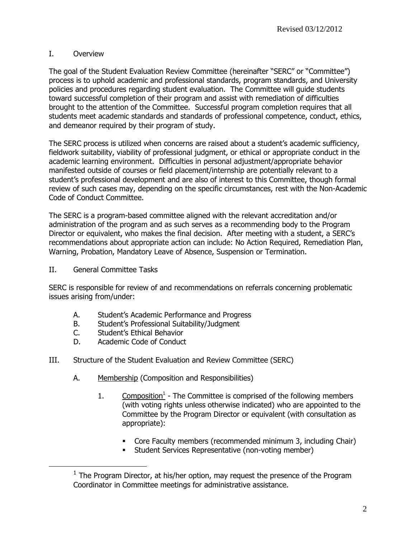# I. Overview

The goal of the Student Evaluation Review Committee (hereinafter "SERC" or "Committee") process is to uphold academic and professional standards, program standards, and University policies and procedures regarding student evaluation. The Committee will guide students toward successful completion of their program and assist with remediation of difficulties brought to the attention of the Committee. Successful program completion requires that all students meet academic standards and standards of professional competence, conduct, ethics, and demeanor required by their program of study.

The SERC process is utilized when concerns are raised about a student's academic sufficiency, fieldwork suitability, viability of professional judgment, or ethical or appropriate conduct in the academic learning environment. Difficulties in personal adjustment/appropriate behavior manifested outside of courses or field placement/internship are potentially relevant to a student's professional development and are also of interest to this Committee, though formal review of such cases may, depending on the specific circumstances, rest with the Non-Academic Code of Conduct Committee.

The SERC is a program-based committee aligned with the relevant accreditation and/or administration of the program and as such serves as a recommending body to the Program Director or equivalent, who makes the final decision. After meeting with a student, a SERC's recommendations about appropriate action can include: No Action Required, Remediation Plan, Warning, Probation, Mandatory Leave of Absence, Suspension or Termination.

II. General Committee Tasks

 $\overline{a}$ 

SERC is responsible for review of and recommendations on referrals concerning problematic issues arising from/under:

- A. Student's Academic Performance and Progress
- B. Student's Professional Suitability/Judgment
- C. Student's Ethical Behavior
- D. Academic Code of Conduct
- III. Structure of the Student Evaluation and Review Committee (SERC)
	- A. Membership (Composition and Responsibilities)
		- 1.  $\frac{\text{Composition}^1}{\text{Combosition}}$  The Committee is comprised of the following members (with voting rights unless otherwise indicated) who are appointed to the Committee by the Program Director or equivalent (with consultation as appropriate):
			- Core Faculty members (recommended minimum 3, including Chair)
			- **Student Services Representative (non-voting member)**

 $<sup>1</sup>$  The Program Director, at his/her option, may request the presence of the Program</sup> Coordinator in Committee meetings for administrative assistance.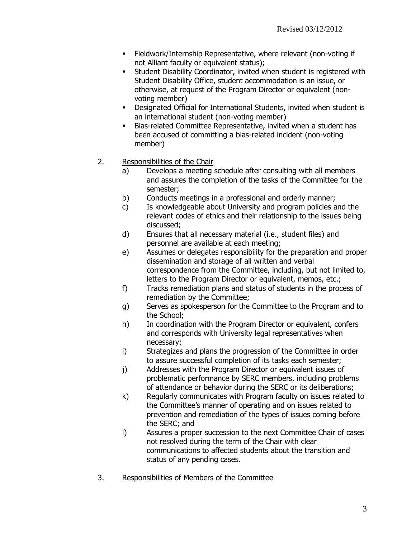- Fieldwork/Internship Representative, where relevant (non-voting if not Alliant faculty or equivalent status);
- Student Disability Coordinator, invited when student is registered with Student Disability Office, student accommodation is an issue, or otherwise, at request of the Program Director or equivalent (nonvoting member)
- Designated Official for International Students, invited when student is an international student (non-voting member)
- Bias-related Committee Representative, invited when a student has been accused of committing a bias-related incident (non-voting member)
- 2. Responsibilities of the Chair
	- a) Develops a meeting schedule after consulting with all members and assures the completion of the tasks of the Committee for the semester;
	- b) Conducts meetings in a professional and orderly manner;
	- c) Is knowledgeable about University and program policies and the relevant codes of ethics and their relationship to the issues being discussed;
	- d) Ensures that all necessary material (i.e., student files) and personnel are available at each meeting;
	- e) Assumes or delegates responsibility for the preparation and proper dissemination and storage of all written and verbal correspondence from the Committee, including, but not limited to, letters to the Program Director or equivalent, memos, etc.;
	- f) Tracks remediation plans and status of students in the process of remediation by the Committee;
	- g) Serves as spokesperson for the Committee to the Program and to the School;
	- h) In coordination with the Program Director or equivalent, confers and corresponds with University legal representatives when necessary;
	- i) Strategizes and plans the progression of the Committee in order to assure successful completion of its tasks each semester;
	- j) Addresses with the Program Director or equivalent issues of problematic performance by SERC members, including problems of attendance or behavior during the SERC or its deliberations;
	- k) Regularly communicates with Program faculty on issues related to the Committee's manner of operating and on issues related to prevention and remediation of the types of issues coming before the SERC; and
	- l) Assures a proper succession to the next Committee Chair of cases not resolved during the term of the Chair with clear communications to affected students about the transition and status of any pending cases.
- 3. Responsibilities of Members of the Committee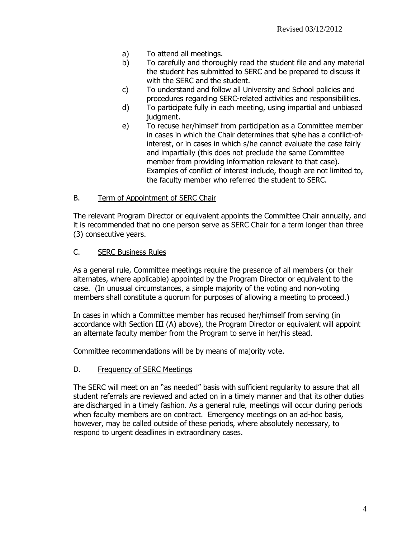- a) To attend all meetings.
- b) To carefully and thoroughly read the student file and any material the student has submitted to SERC and be prepared to discuss it with the SERC and the student.
- c) To understand and follow all University and School policies and procedures regarding SERC-related activities and responsibilities.
- d) To participate fully in each meeting, using impartial and unbiased judgment.
- e) To recuse her/himself from participation as a Committee member in cases in which the Chair determines that s/he has a conflict-ofinterest, or in cases in which s/he cannot evaluate the case fairly and impartially (this does not preclude the same Committee member from providing information relevant to that case). Examples of conflict of interest include, though are not limited to, the faculty member who referred the student to SERC.

## B. Term of Appointment of SERC Chair

The relevant Program Director or equivalent appoints the Committee Chair annually, and it is recommended that no one person serve as SERC Chair for a term longer than three (3) consecutive years.

## C. SERC Business Rules

As a general rule, Committee meetings require the presence of all members (or their alternates, where applicable) appointed by the Program Director or equivalent to the case. (In unusual circumstances, a simple majority of the voting and non-voting members shall constitute a quorum for purposes of allowing a meeting to proceed.)

In cases in which a Committee member has recused her/himself from serving (in accordance with Section III (A) above), the Program Director or equivalent will appoint an alternate faculty member from the Program to serve in her/his stead.

Committee recommendations will be by means of majority vote.

## D. Frequency of SERC Meetings

The SERC will meet on an "as needed" basis with sufficient regularity to assure that all student referrals are reviewed and acted on in a timely manner and that its other duties are discharged in a timely fashion. As a general rule, meetings will occur during periods when faculty members are on contract. Emergency meetings on an ad-hoc basis, however, may be called outside of these periods, where absolutely necessary, to respond to urgent deadlines in extraordinary cases.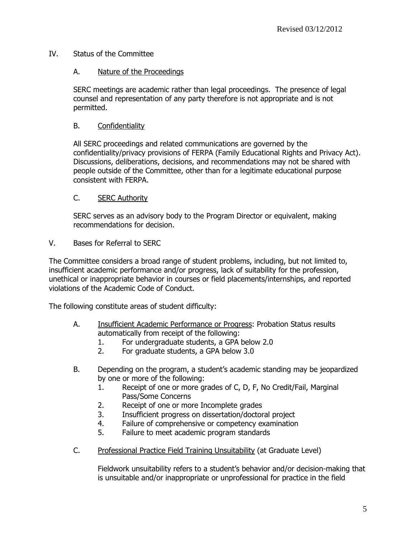## IV. Status of the Committee

## A. Nature of the Proceedings

SERC meetings are academic rather than legal proceedings. The presence of legal counsel and representation of any party therefore is not appropriate and is not permitted.

## B. Confidentiality

All SERC proceedings and related communications are governed by the confidentiality/privacy provisions of FERPA (Family Educational Rights and Privacy Act). Discussions, deliberations, decisions, and recommendations may not be shared with people outside of the Committee, other than for a legitimate educational purpose consistent with FERPA.

#### C. SERC Authority

SERC serves as an advisory body to the Program Director or equivalent, making recommendations for decision.

V. Bases for Referral to SERC

The Committee considers a broad range of student problems, including, but not limited to, insufficient academic performance and/or progress, lack of suitability for the profession, unethical or inappropriate behavior in courses or field placements/internships, and reported violations of the Academic Code of Conduct.

The following constitute areas of student difficulty:

- A. Insufficient Academic Performance or Progress: Probation Status results automatically from receipt of the following:
	- 1. For undergraduate students, a GPA below 2.0
	- 2. For graduate students, a GPA below 3.0
- B. Depending on the program, a student's academic standing may be jeopardized by one or more of the following:
	- 1. Receipt of one or more grades of C, D, F, No Credit/Fail, Marginal Pass/Some Concerns
	- 2. Receipt of one or more Incomplete grades
	- 3. Insufficient progress on dissertation/doctoral project
	- 4. Failure of comprehensive or competency examination
	- 5. Failure to meet academic program standards
- C. Professional Practice Field Training Unsuitability (at Graduate Level)

Fieldwork unsuitability refers to a student's behavior and/or decision-making that is unsuitable and/or inappropriate or unprofessional for practice in the field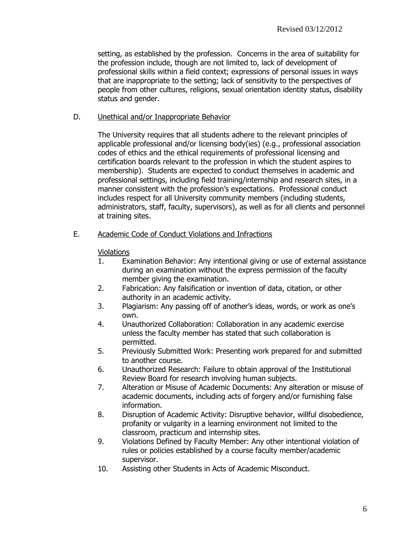setting, as established by the profession. Concerns in the area of suitability for the profession include, though are not limited to, lack of development of professional skills within a field context; expressions of personal issues in ways that are inappropriate to the setting; lack of sensitivity to the perspectives of people from other cultures, religions, sexual orientation identity status, disability status and gender.

#### D. Unethical and/or Inappropriate Behavior

The University requires that all students adhere to the relevant principles of applicable professional and/or licensing body(ies) (e.g., professional association codes of ethics and the ethical requirements of professional licensing and certification boards relevant to the profession in which the student aspires to membership). Students are expected to conduct themselves in academic and professional settings, including field training/internship and research sites, in a manner consistent with the profession's expectations. Professional conduct includes respect for all University community members (including students, administrators, staff, faculty, supervisors), as well as for all clients and personnel at training sites.

E. Academic Code of Conduct Violations and Infractions

#### **Violations**

- 1. Examination Behavior: Any intentional giving or use of external assistance during an examination without the express permission of the faculty member giving the examination.
- 2. Fabrication: Any falsification or invention of data, citation, or other authority in an academic activity.
- 3. Plagiarism: Any passing off of another's ideas, words, or work as one's own.
- 4. Unauthorized Collaboration: Collaboration in any academic exercise unless the faculty member has stated that such collaboration is permitted.
- 5. Previously Submitted Work: Presenting work prepared for and submitted to another course.
- 6. Unauthorized Research: Failure to obtain approval of the Institutional Review Board for research involving human subjects.
- 7. Alteration or Misuse of Academic Documents: Any alteration or misuse of academic documents, including acts of forgery and/or furnishing false information.
- 8. Disruption of Academic Activity: Disruptive behavior, willful disobedience, profanity or vulgarity in a learning environment not limited to the classroom, practicum and internship sites.
- 9. Violations Defined by Faculty Member: Any other intentional violation of rules or policies established by a course faculty member/academic supervisor.
- 10. Assisting other Students in Acts of Academic Misconduct.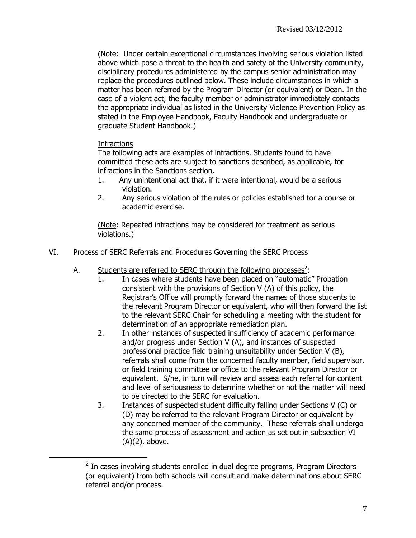(Note: Under certain exceptional circumstances involving serious violation listed above which pose a threat to the health and safety of the University community, disciplinary procedures administered by the campus senior administration may replace the procedures outlined below. These include circumstances in which a matter has been referred by the Program Director (or equivalent) or Dean. In the case of a violent act, the faculty member or administrator immediately contacts the appropriate individual as listed in the University Violence Prevention Policy as stated in the Employee Handbook, Faculty Handbook and undergraduate or graduate Student Handbook.)

# Infractions

 $\overline{a}$ 

The following acts are examples of infractions. Students found to have committed these acts are subject to sanctions described, as applicable, for infractions in the Sanctions section.

- 1. Any unintentional act that, if it were intentional, would be a serious violation.
- 2. Any serious violation of the rules or policies established for a course or academic exercise.

(Note: Repeated infractions may be considered for treatment as serious violations.)

- VI. Process of SERC Referrals and Procedures Governing the SERC Process
	- A. Students are referred to SERC through the following processes<sup>2</sup>:
		- 1. In cases where students have been placed on "automatic" Probation consistent with the provisions of Section V (A) of this policy, the Registrar's Office will promptly forward the names of those students to the relevant Program Director or equivalent, who will then forward the list to the relevant SERC Chair for scheduling a meeting with the student for determination of an appropriate remediation plan.
		- 2. In other instances of suspected insufficiency of academic performance and/or progress under Section V (A), and instances of suspected professional practice field training unsuitability under Section V (B), referrals shall come from the concerned faculty member, field supervisor, or field training committee or office to the relevant Program Director or equivalent. S/he, in turn will review and assess each referral for content and level of seriousness to determine whether or not the matter will need to be directed to the SERC for evaluation.
		- 3. Instances of suspected student difficulty falling under Sections V (C) or (D) may be referred to the relevant Program Director or equivalent by any concerned member of the community. These referrals shall undergo the same process of assessment and action as set out in subsection VI (A)(2), above.

 $2$  In cases involving students enrolled in dual degree programs, Program Directors (or equivalent) from both schools will consult and make determinations about SERC referral and/or process.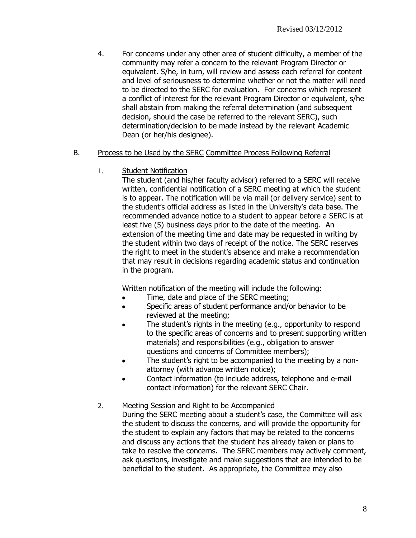4. For concerns under any other area of student difficulty, a member of the community may refer a concern to the relevant Program Director or equivalent. S/he, in turn, will review and assess each referral for content and level of seriousness to determine whether or not the matter will need to be directed to the SERC for evaluation. For concerns which represent a conflict of interest for the relevant Program Director or equivalent, s/he shall abstain from making the referral determination (and subsequent decision, should the case be referred to the relevant SERC), such determination/decision to be made instead by the relevant Academic Dean (or her/his designee).

#### B. Process to be Used by the SERC Committee Process Following Referral

1. Student Notification

The student (and his/her faculty advisor) referred to a SERC will receive written, confidential notification of a SERC meeting at which the student is to appear. The notification will be via mail (or delivery service) sent to the student's official address as listed in the University's data base. The recommended advance notice to a student to appear before a SERC is at least five (5) business days prior to the date of the meeting. An extension of the meeting time and date may be requested in writing by the student within two days of receipt of the notice. The SERC reserves the right to meet in the student's absence and make a recommendation that may result in decisions regarding academic status and continuation in the program.

Written notification of the meeting will include the following:

- Time, date and place of the SERC meeting;
- Specific areas of student performance and/or behavior to be reviewed at the meeting;
- The student's rights in the meeting (e.g., opportunity to respond to the specific areas of concerns and to present supporting written materials) and responsibilities (e.g., obligation to answer questions and concerns of Committee members);
- The student's right to be accompanied to the meeting by a nonattorney (with advance written notice);
- Contact information (to include address, telephone and e-mail contact information) for the relevant SERC Chair.

## 2. Meeting Session and Right to be Accompanied

During the SERC meeting about a student's case, the Committee will ask the student to discuss the concerns, and will provide the opportunity for the student to explain any factors that may be related to the concerns and discuss any actions that the student has already taken or plans to take to resolve the concerns. The SERC members may actively comment, ask questions, investigate and make suggestions that are intended to be beneficial to the student. As appropriate, the Committee may also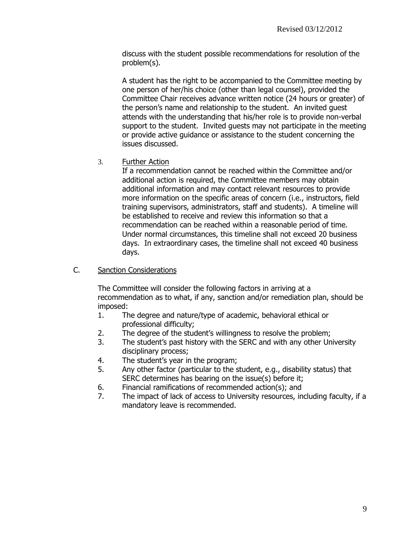discuss with the student possible recommendations for resolution of the problem(s).

A student has the right to be accompanied to the Committee meeting by one person of her/his choice (other than legal counsel), provided the Committee Chair receives advance written notice (24 hours or greater) of the person's name and relationship to the student. An invited guest attends with the understanding that his/her role is to provide non-verbal support to the student. Invited guests may not participate in the meeting or provide active guidance or assistance to the student concerning the issues discussed.

3. Further Action

If a recommendation cannot be reached within the Committee and/or additional action is required, the Committee members may obtain additional information and may contact relevant resources to provide more information on the specific areas of concern (i.e., instructors, field training supervisors, administrators, staff and students). A timeline will be established to receive and review this information so that a recommendation can be reached within a reasonable period of time. Under normal circumstances, this timeline shall not exceed 20 business days. In extraordinary cases, the timeline shall not exceed 40 business days.

C. Sanction Considerations

The Committee will consider the following factors in arriving at a recommendation as to what, if any, sanction and/or remediation plan, should be imposed:

- 1. The degree and nature/type of academic, behavioral ethical or professional difficulty;
- 2. The degree of the student's willingness to resolve the problem;
- 3. The student's past history with the SERC and with any other University disciplinary process;
- 4. The student's year in the program;
- 5. Any other factor (particular to the student, e.g., disability status) that SERC determines has bearing on the issue(s) before it;
- 6. Financial ramifications of recommended action(s); and
- 7. The impact of lack of access to University resources, including faculty, if a mandatory leave is recommended.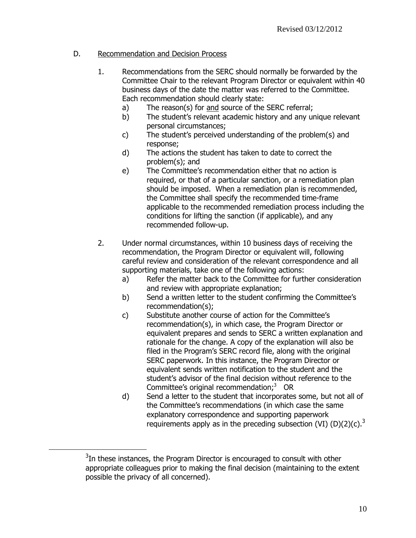## D. Recommendation and Decision Process

- 1. Recommendations from the SERC should normally be forwarded by the Committee Chair to the relevant Program Director or equivalent within 40 business days of the date the matter was referred to the Committee. Each recommendation should clearly state:
	- a) The reason(s) for and source of the SERC referral;
	- b) The student's relevant academic history and any unique relevant personal circumstances;
	- c) The student's perceived understanding of the problem(s) and response;
	- d) The actions the student has taken to date to correct the problem(s); and
	- e) The Committee's recommendation either that no action is required, or that of a particular sanction, or a remediation plan should be imposed. When a remediation plan is recommended, the Committee shall specify the recommended time-frame applicable to the recommended remediation process including the conditions for lifting the sanction (if applicable), and any recommended follow-up.
- 2. Under normal circumstances, within 10 business days of receiving the recommendation, the Program Director or equivalent will, following careful review and consideration of the relevant correspondence and all supporting materials, take one of the following actions:
	- a) Refer the matter back to the Committee for further consideration and review with appropriate explanation;
	- b) Send a written letter to the student confirming the Committee's recommendation(s);
	- c) Substitute another course of action for the Committee's recommendation(s), in which case, the Program Director or equivalent prepares and sends to SERC a written explanation and rationale for the change. A copy of the explanation will also be filed in the Program's SERC record file, along with the original SERC paperwork. In this instance, the Program Director or equivalent sends written notification to the student and the student's advisor of the final decision without reference to the Committee's original recommendation;<sup>3</sup> OR
	- d) Send a letter to the student that incorporates some, but not all of the Committee's recommendations (in which case the same explanatory correspondence and supporting paperwork requirements apply as in the preceding subsection (VI) (D)(2)(c).<sup>[3](#page-9-0)</sup>

 $\overline{a}$ 

<span id="page-9-0"></span> $3$ In these instances, the Program Director is encouraged to consult with other appropriate colleagues prior to making the final decision (maintaining to the extent possible the privacy of all concerned).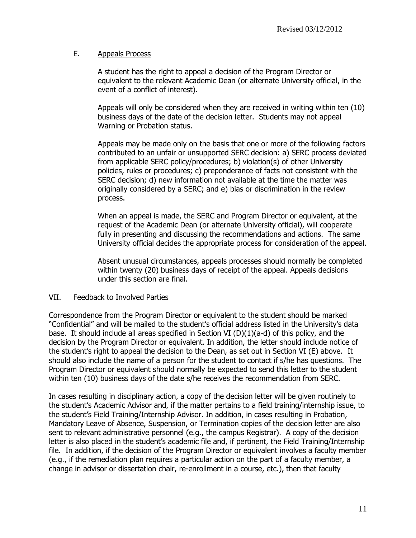#### E. Appeals Process

A student has the right to appeal a decision of the Program Director or equivalent to the relevant Academic Dean (or alternate University official, in the event of a conflict of interest).

Appeals will only be considered when they are received in writing within ten (10) business days of the date of the decision letter. Students may not appeal Warning or Probation status.

Appeals may be made only on the basis that one or more of the following factors contributed to an unfair or unsupported SERC decision: a) SERC process deviated from applicable SERC policy/procedures; b) violation(s) of other University policies, rules or procedures; c) preponderance of facts not consistent with the SERC decision; d) new information not available at the time the matter was originally considered by a SERC; and e) bias or discrimination in the review process.

When an appeal is made, the SERC and Program Director or equivalent, at the request of the Academic Dean (or alternate University official), will cooperate fully in presenting and discussing the recommendations and actions. The same University official decides the appropriate process for consideration of the appeal.

Absent unusual circumstances, appeals processes should normally be completed within twenty (20) business days of receipt of the appeal. Appeals decisions under this section are final.

#### VII. Feedback to Involved Parties

Correspondence from the Program Director or equivalent to the student should be marked "Confidential" and will be mailed to the student's official address listed in the University's data base. It should include all areas specified in Section VI ( $D$ )(1)(a-d) of this policy, and the decision by the Program Director or equivalent. In addition, the letter should include notice of the student's right to appeal the decision to the Dean, as set out in Section VI (E) above. It should also include the name of a person for the student to contact if s/he has questions. The Program Director or equivalent should normally be expected to send this letter to the student within ten (10) business days of the date s/he receives the recommendation from SERC.

In cases resulting in disciplinary action, a copy of the decision letter will be given routinely to the student's Academic Advisor and, if the matter pertains to a field training/internship issue, to the student's Field Training/Internship Advisor. In addition, in cases resulting in Probation, Mandatory Leave of Absence, Suspension, or Termination copies of the decision letter are also sent to relevant administrative personnel (e.g., the campus Registrar). A copy of the decision letter is also placed in the student's academic file and, if pertinent, the Field Training/Internship file. In addition, if the decision of the Program Director or equivalent involves a faculty member (e.g., if the remediation plan requires a particular action on the part of a faculty member, a change in advisor or dissertation chair, re-enrollment in a course, etc.), then that faculty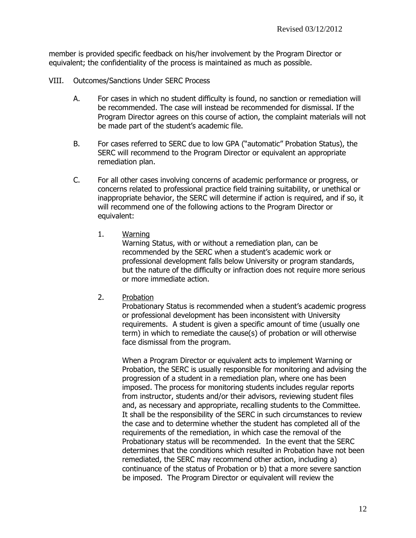member is provided specific feedback on his/her involvement by the Program Director or equivalent; the confidentiality of the process is maintained as much as possible.

- VIII. Outcomes/Sanctions Under SERC Process
	- A. For cases in which no student difficulty is found, no sanction or remediation will be recommended. The case will instead be recommended for dismissal. If the Program Director agrees on this course of action, the complaint materials will not be made part of the student's academic file.
	- B. For cases referred to SERC due to low GPA ("automatic" Probation Status), the SERC will recommend to the Program Director or equivalent an appropriate remediation plan.
	- C. For all other cases involving concerns of academic performance or progress, or concerns related to professional practice field training suitability, or unethical or inappropriate behavior, the SERC will determine if action is required, and if so, it will recommend one of the following actions to the Program Director or equivalent:
		- 1. Warning

Warning Status, with or without a remediation plan, can be recommended by the SERC when a student's academic work or professional development falls below University or program standards, but the nature of the difficulty or infraction does not require more serious or more immediate action.

2. Probation

Probationary Status is recommended when a student's academic progress or professional development has been inconsistent with University requirements. A student is given a specific amount of time (usually one term) in which to remediate the cause(s) of probation or will otherwise face dismissal from the program.

When a Program Director or equivalent acts to implement Warning or Probation, the SERC is usually responsible for monitoring and advising the progression of a student in a remediation plan, where one has been imposed. The process for monitoring students includes regular reports from instructor, students and/or their advisors, reviewing student files and, as necessary and appropriate, recalling students to the Committee. It shall be the responsibility of the SERC in such circumstances to review the case and to determine whether the student has completed all of the requirements of the remediation, in which case the removal of the Probationary status will be recommended. In the event that the SERC determines that the conditions which resulted in Probation have not been remediated, the SERC may recommend other action, including a) continuance of the status of Probation or b) that a more severe sanction be imposed. The Program Director or equivalent will review the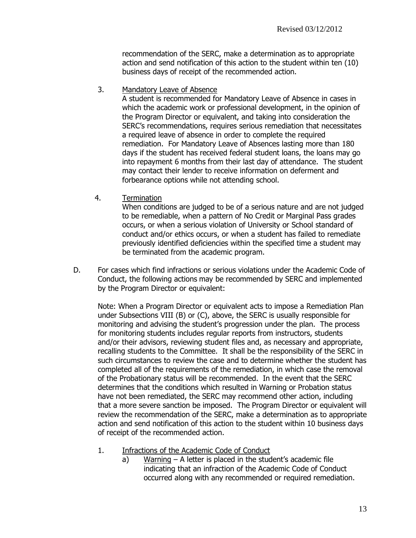recommendation of the SERC, make a determination as to appropriate action and send notification of this action to the student within ten (10) business days of receipt of the recommended action.

3. Mandatory Leave of Absence

A student is recommended for Mandatory Leave of Absence in cases in which the academic work or professional development, in the opinion of the Program Director or equivalent, and taking into consideration the SERC's recommendations, requires serious remediation that necessitates a required leave of absence in order to complete the required remediation. For Mandatory Leave of Absences lasting more than 180 days if the student has received federal student loans, the loans may go into repayment 6 months from their last day of attendance. The student may contact their lender to receive information on deferment and forbearance options while not attending school.

4. Termination

When conditions are judged to be of a serious nature and are not judged to be remediable, when a pattern of No Credit or Marginal Pass grades occurs, or when a serious violation of University or School standard of conduct and/or ethics occurs, or when a student has failed to remediate previously identified deficiencies within the specified time a student may be terminated from the academic program.

D. For cases which find infractions or serious violations under the Academic Code of Conduct, the following actions may be recommended by SERC and implemented by the Program Director or equivalent:

Note: When a Program Director or equivalent acts to impose a Remediation Plan under Subsections VIII (B) or (C), above, the SERC is usually responsible for monitoring and advising the student's progression under the plan. The process for monitoring students includes regular reports from instructors, students and/or their advisors, reviewing student files and, as necessary and appropriate, recalling students to the Committee. It shall be the responsibility of the SERC in such circumstances to review the case and to determine whether the student has completed all of the requirements of the remediation, in which case the removal of the Probationary status will be recommended. In the event that the SERC determines that the conditions which resulted in Warning or Probation status have not been remediated, the SERC may recommend other action, including that a more severe sanction be imposed. The Program Director or equivalent will review the recommendation of the SERC, make a determination as to appropriate action and send notification of this action to the student within 10 business days of receipt of the recommended action.

- 1. Infractions of the Academic Code of Conduct
	- a) Warning A letter is placed in the student's academic file indicating that an infraction of the Academic Code of Conduct occurred along with any recommended or required remediation.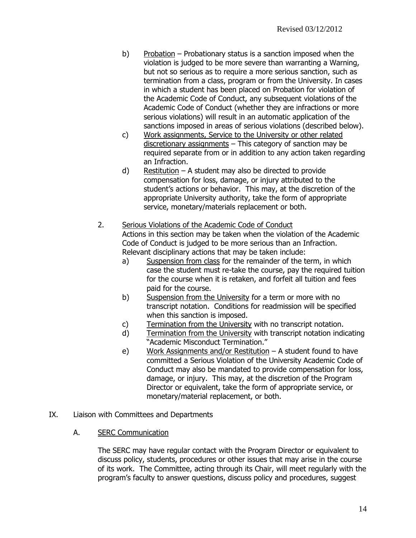- b) Probation Probationary status is a sanction imposed when the violation is judged to be more severe than warranting a Warning, but not so serious as to require a more serious sanction, such as termination from a class, program or from the University. In cases in which a student has been placed on Probation for violation of the Academic Code of Conduct, any subsequent violations of the Academic Code of Conduct (whether they are infractions or more serious violations) will result in an automatic application of the sanctions imposed in areas of serious violations (described below).
- c) Work assignments, Service to the University or other related discretionary assignments – This category of sanction may be required separate from or in addition to any action taken regarding an Infraction.
- d) Restitution A student may also be directed to provide compensation for loss, damage, or injury attributed to the student's actions or behavior. This may, at the discretion of the appropriate University authority, take the form of appropriate service, monetary/materials replacement or both.

## 2. Serious Violations of the Academic Code of Conduct

Actions in this section may be taken when the violation of the Academic Code of Conduct is judged to be more serious than an Infraction. Relevant disciplinary actions that may be taken include:

- a) Suspension from class for the remainder of the term, in which case the student must re-take the course, pay the required tuition for the course when it is retaken, and forfeit all tuition and fees paid for the course.
- b) Suspension from the University for a term or more with no transcript notation. Conditions for readmission will be specified when this sanction is imposed.
- c) Termination from the University with no transcript notation.
- d) Termination from the University with transcript notation indicating "Academic Misconduct Termination."
- e) Work Assignments and/or Restitution A student found to have committed a Serious Violation of the University Academic Code of Conduct may also be mandated to provide compensation for loss, damage, or injury. This may, at the discretion of the Program Director or equivalent, take the form of appropriate service, or monetary/material replacement, or both.
- IX. Liaison with Committees and Departments
	- A. SERC Communication

The SERC may have regular contact with the Program Director or equivalent to discuss policy, students, procedures or other issues that may arise in the course of its work. The Committee, acting through its Chair, will meet regularly with the program's faculty to answer questions, discuss policy and procedures, suggest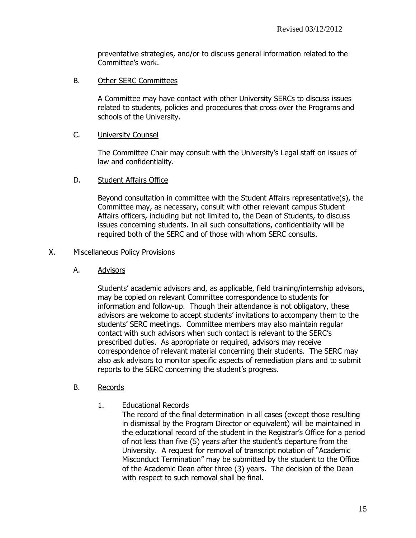preventative strategies, and/or to discuss general information related to the Committee's work.

B. Other SERC Committees

A Committee may have contact with other University SERCs to discuss issues related to students, policies and procedures that cross over the Programs and schools of the University.

#### C. University Counsel

The Committee Chair may consult with the University's Legal staff on issues of law and confidentiality.

## D. Student Affairs Office

Beyond consultation in committee with the Student Affairs representative(s), the Committee may, as necessary, consult with other relevant campus Student Affairs officers, including but not limited to, the Dean of Students, to discuss issues concerning students. In all such consultations, confidentiality will be required both of the SERC and of those with whom SERC consults.

#### X. Miscellaneous Policy Provisions

A. Advisors

Students' academic advisors and, as applicable, field training/internship advisors, may be copied on relevant Committee correspondence to students for information and follow-up. Though their attendance is not obligatory, these advisors are welcome to accept students' invitations to accompany them to the students' SERC meetings. Committee members may also maintain regular contact with such advisors when such contact is relevant to the SERC's prescribed duties. As appropriate or required, advisors may receive correspondence of relevant material concerning their students. The SERC may also ask advisors to monitor specific aspects of remediation plans and to submit reports to the SERC concerning the student's progress.

#### B. Records

1. Educational Records

The record of the final determination in all cases (except those resulting in dismissal by the Program Director or equivalent) will be maintained in the educational record of the student in the Registrar's Office for a period of not less than five (5) years after the student's departure from the University. A request for removal of transcript notation of "Academic Misconduct Termination" may be submitted by the student to the Office of the Academic Dean after three (3) years. The decision of the Dean with respect to such removal shall be final.